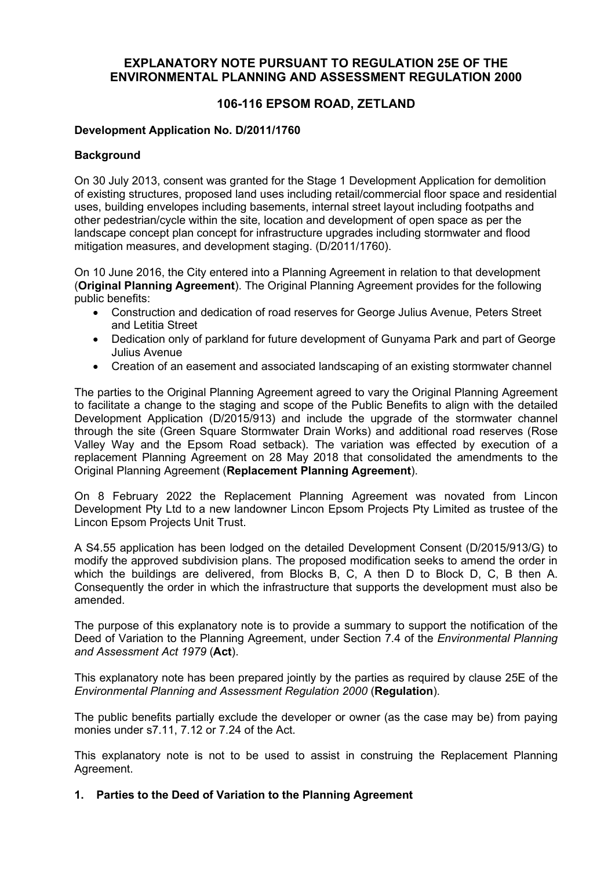## **EXPLANATORY NOTE PURSUANT TO REGULATION 25E OF THE ENVIRONMENTAL PLANNING AND ASSESSMENT REGULATION 2000**

# **106-116 EPSOM ROAD, ZETLAND**

## **Development Application No. D/2011/1760**

## **Background**

On 30 July 2013, consent was granted for the Stage 1 Development Application for demolition of existing structures, proposed land uses including retail/commercial floor space and residential uses, building envelopes including basements, internal street layout including footpaths and other pedestrian/cycle within the site, location and development of open space as per the landscape concept plan concept for infrastructure upgrades including stormwater and flood mitigation measures, and development staging. (D/2011/1760).

On 10 June 2016, the City entered into a Planning Agreement in relation to that development (**Original Planning Agreement**). The Original Planning Agreement provides for the following public benefits:

- Construction and dedication of road reserves for George Julius Avenue, Peters Street and Letitia Street
- Dedication only of parkland for future development of Gunyama Park and part of George Julius Avenue
- Creation of an easement and associated landscaping of an existing stormwater channel

The parties to the Original Planning Agreement agreed to vary the Original Planning Agreement to facilitate a change to the staging and scope of the Public Benefits to align with the detailed Development Application (D/2015/913) and include the upgrade of the stormwater channel through the site (Green Square Stormwater Drain Works) and additional road reserves (Rose Valley Way and the Epsom Road setback). The variation was effected by execution of a replacement Planning Agreement on 28 May 2018 that consolidated the amendments to the Original Planning Agreement (**Replacement Planning Agreement**).

On 8 February 2022 the Replacement Planning Agreement was novated from Lincon Development Pty Ltd to a new landowner Lincon Epsom Projects Pty Limited as trustee of the Lincon Epsom Projects Unit Trust.

A S4.55 application has been lodged on the detailed Development Consent (D/2015/913/G) to modify the approved subdivision plans. The proposed modification seeks to amend the order in which the buildings are delivered, from Blocks B, C, A then D to Block D, C, B then A. Consequently the order in which the infrastructure that supports the development must also be amended.

The purpose of this explanatory note is to provide a summary to support the notification of the Deed of Variation to the Planning Agreement, under Section 7.4 of the *Environmental Planning and Assessment Act 1979* (**Act**).

This explanatory note has been prepared jointly by the parties as required by clause 25E of the *Environmental Planning and Assessment Regulation 2000* (**Regulation**).

The public benefits partially exclude the developer or owner (as the case may be) from paying monies under s7.11, 7.12 or 7.24 of the Act.

This explanatory note is not to be used to assist in construing the Replacement Planning Agreement.

## **1. Parties to the Deed of Variation to the Planning Agreement**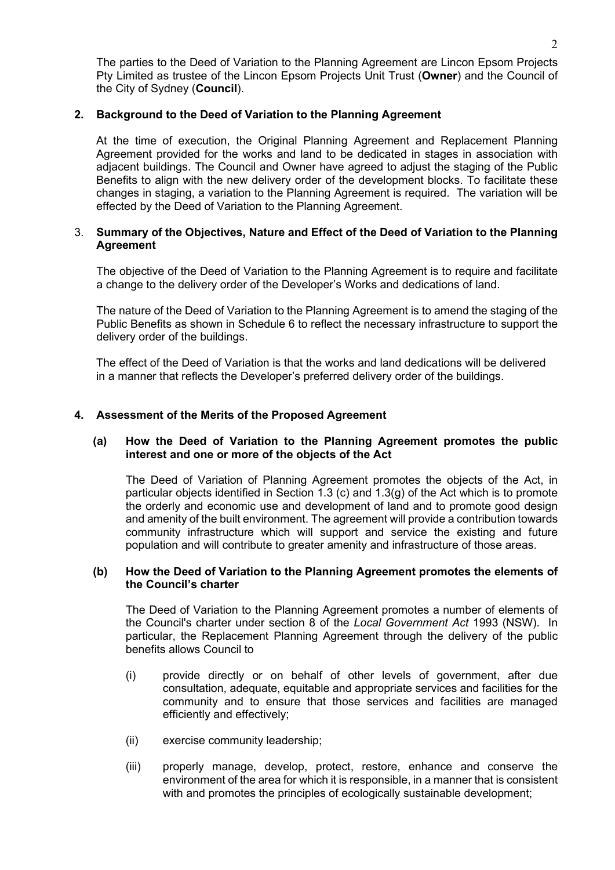The parties to the Deed of Variation to the Planning Agreement are Lincon Epsom Projects Pty Limited as trustee of the Lincon Epsom Projects Unit Trust (**Owner**) and the Council of the City of Sydney (**Council**).

## **2. Background to the Deed of Variation to the Planning Agreement**

At the time of execution, the Original Planning Agreement and Replacement Planning Agreement provided for the works and land to be dedicated in stages in association with adjacent buildings. The Council and Owner have agreed to adjust the staging of the Public Benefits to align with the new delivery order of the development blocks. To facilitate these changes in staging, a variation to the Planning Agreement is required. The variation will be effected by the Deed of Variation to the Planning Agreement.

## 3. **Summary of the Objectives, Nature and Effect of the Deed of Variation to the Planning Agreement**

The objective of the Deed of Variation to the Planning Agreement is to require and facilitate a change to the delivery order of the Developer's Works and dedications of land.

The nature of the Deed of Variation to the Planning Agreement is to amend the staging of the Public Benefits as shown in Schedule 6 to reflect the necessary infrastructure to support the delivery order of the buildings.

The effect of the Deed of Variation is that the works and land dedications will be delivered in a manner that reflects the Developer's preferred delivery order of the buildings.

## **4. Assessment of the Merits of the Proposed Agreement**

## **(a) How the Deed of Variation to the Planning Agreement promotes the public interest and one or more of the objects of the Act**

The Deed of Variation of Planning Agreement promotes the objects of the Act, in particular objects identified in Section 1.3 (c) and 1.3(g) of the Act which is to promote the orderly and economic use and development of land and to promote good design and amenity of the built environment. The agreement will provide a contribution towards community infrastructure which will support and service the existing and future population and will contribute to greater amenity and infrastructure of those areas.

#### **(b) How the Deed of Variation to the Planning Agreement promotes the elements of the Council's charter**

The Deed of Variation to the Planning Agreement promotes a number of elements of the Council's charter under section 8 of the *Local Government Act* 1993 (NSW). In particular, the Replacement Planning Agreement through the delivery of the public benefits allows Council to

- (i) provide directly or on behalf of other levels of government, after due consultation, adequate, equitable and appropriate services and facilities for the community and to ensure that those services and facilities are managed efficiently and effectively;
- (ii) exercise community leadership;
- (iii) properly manage, develop, protect, restore, enhance and conserve the environment of the area for which it is responsible, in a manner that is consistent with and promotes the principles of ecologically sustainable development;